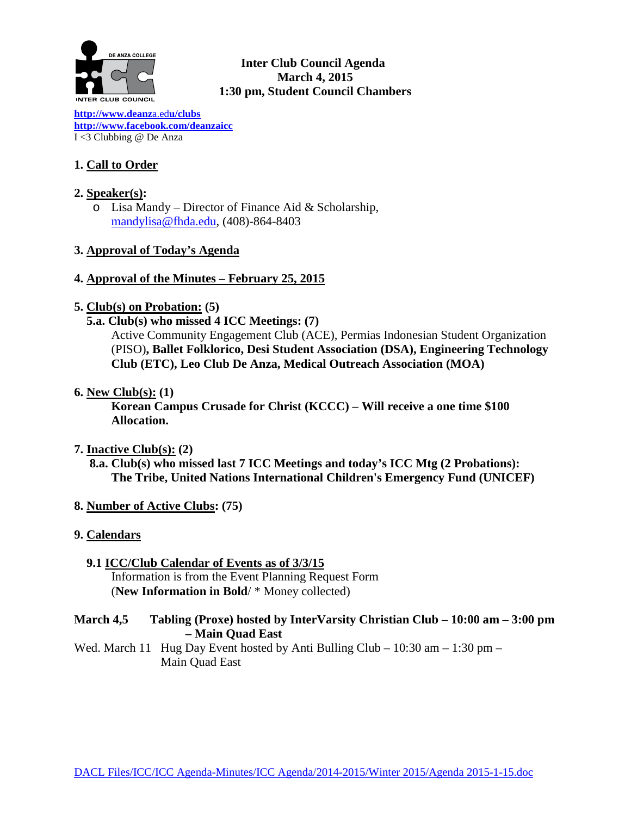

### **Inter Club Council Agenda March 4, 2015 1:30 pm, Student Council Chambers**

**[http://www.deanz](http://www.deanza.edu/clubs)**a.ed**u/clubs [http://www.facebook.com/deanzaicc](http://www.facebook.com/home.php%23!/group.php?gid=59034552686)** I <3 Clubbing @ De Anza

# **1. Call to Order**

### **2. Speaker(s):**

o Lisa Mandy – Director of Finance Aid & Scholarship, [mandylisa@fhda.edu,](mailto:mandylisa@fhda.edu) (408)-864-8403

### **3. Approval of Today's Agenda**

### **4. Approval of the Minutes – February 25, 2015**

### **5. Club(s) on Probation: (5)**

 **5.a. Club(s) who missed 4 ICC Meetings: (7)**

Active Community Engagement Club (ACE), Permias Indonesian Student Organization (PISO)**, Ballet Folklorico, Desi Student Association (DSA), Engineering Technology Club (ETC), Leo Club De Anza, Medical Outreach Association (MOA)**

**6. New Club(s): (1)**

**Korean Campus Crusade for Christ (KCCC) – Will receive a one time \$100 Allocation.**

### **7. Inactive Club(s): (2)**

- **8.a. Club(s) who missed last 7 ICC Meetings and today's ICC Mtg (2 Probations): The Tribe, United Nations International Children's Emergency Fund (UNICEF)**
- **8. Number of Active Clubs: (75)**
- **9. Calendars**
	- **9.1 ICC/Club Calendar of Events as of 3/3/15** Information is from the Event Planning Request Form (**New Information in Bold**/ \* Money collected)

### **March 4,5 Tabling (Proxe) hosted by InterVarsity Christian Club – 10:00 am – 3:00 pm – Main Quad East**

Wed. March 11 Hug Day Event hosted by Anti Bulling Club – 10:30 am – 1:30 pm – Main Quad East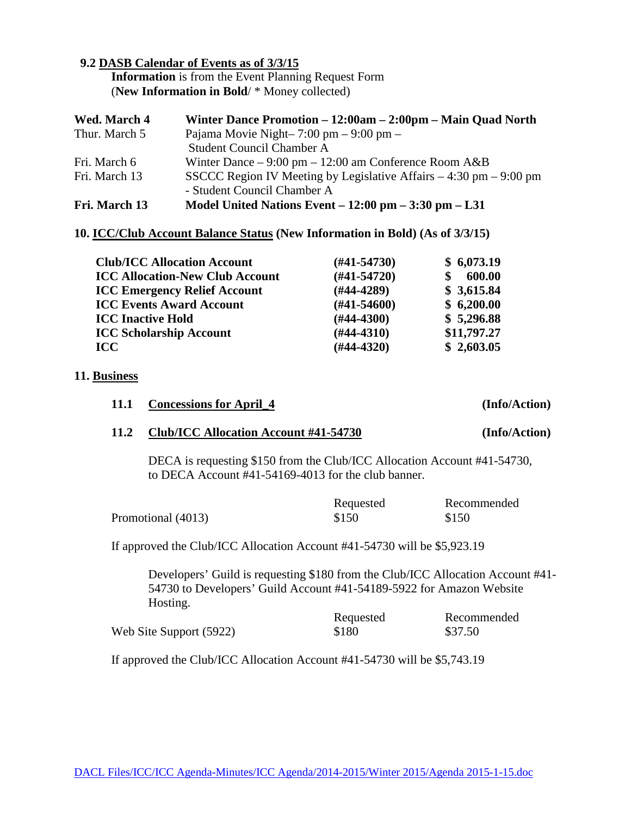### **9.2 DASB Calendar of Events as of 3/3/15**

 **Information** is from the Event Planning Request Form (**New Information in Bold**/ \* Money collected)

| Wed. March 4  | Winter Dance Promotion – 12:00am – 2:00pm – Main Quad North                         |
|---------------|-------------------------------------------------------------------------------------|
| Thur. March 5 | Pajama Movie Night- $7:00 \text{ pm} - 9:00 \text{ pm} -$                           |
|               | <b>Student Council Chamber A</b>                                                    |
| Fri. March 6  | Winter Dance $-9:00 \text{ pm} - 12:00 \text{ am Conference Room A&B}$              |
| Fri. March 13 | SSCCC Region IV Meeting by Legislative Affairs $-4:30 \text{ pm} - 9:00 \text{ pm}$ |
|               | - Student Council Chamber A                                                         |
| Fri. March 13 | Model United Nations Event $-12:00$ pm $-3:30$ pm $-1.31$                           |

#### **10. ICC/Club Account Balance Status (New Information in Bold) (As of 3/3/15)**

| <b>Club/ICC Allocation Account</b>     | (#41-54730)      | \$6,073.19  |
|----------------------------------------|------------------|-------------|
| <b>ICC Allocation-New Club Account</b> | $(#41-54720)$    | 600.00      |
| <b>ICC Emergency Relief Account</b>    | (#44-4289)       | \$3,615.84  |
| <b>ICC Events Award Account</b>        | $(\#41 - 54600)$ | \$6,200.00  |
| <b>ICC Inactive Hold</b>               | $(H44-4300)$     | \$5,296.88  |
| <b>ICC Scholarship Account</b>         | $(\#44-4310)$    | \$11,797.27 |
| <b>ICC</b>                             | $(H44-4320)$     | \$2,603.05  |

#### **11. Business**

|      | 11.1 Concessions for April_4                                                                                                    | (Info/Action) |
|------|---------------------------------------------------------------------------------------------------------------------------------|---------------|
| 11.2 | Club/ICC Allocation Account #41-54730                                                                                           | (Info/Action) |
|      | DECA is requesting \$150 from the Club/ICC Allocation Account #41-54730,<br>to DECA Account #41-54169-4013 for the club banner. |               |

|                    | Requested | Recommended |
|--------------------|-----------|-------------|
| Promotional (4013) | \$150     | \$150       |

If approved the Club/ICC Allocation Account #41-54730 will be \$5,923.19

Developers' Guild is requesting \$180 from the Club/ICC Allocation Account #41- 54730 to Developers' Guild Account #41-54189-5922 for Amazon Website Hosting.

|                         | Requested | Recommended |
|-------------------------|-----------|-------------|
| Web Site Support (5922) | \$180     | \$37.50     |

If approved the Club/ICC Allocation Account #41-54730 will be \$5,743.19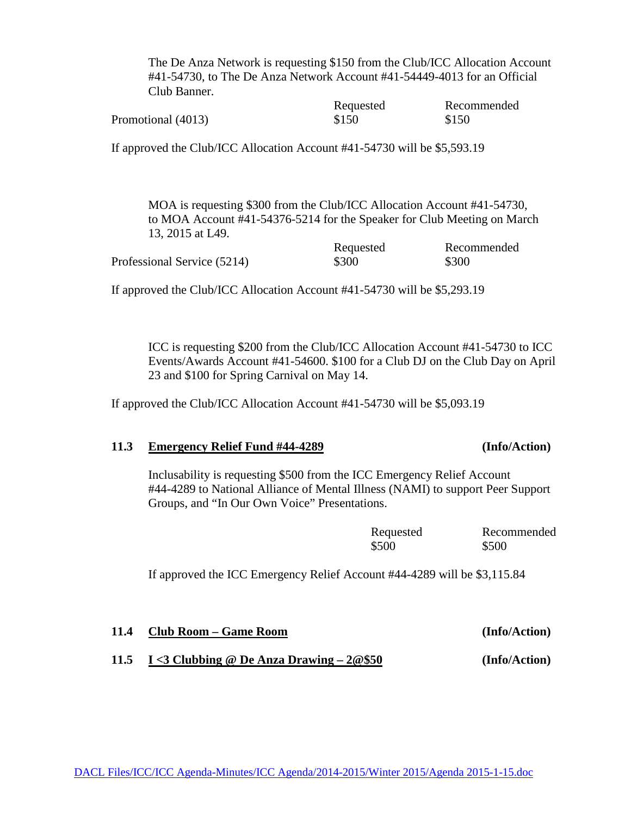The De Anza Network is requesting \$150 from the Club/ICC Allocation Account #41-54730, to The De Anza Network Account #41-54449-4013 for an Official Club Banner.

|                    | Requested | Recommended |
|--------------------|-----------|-------------|
| Promotional (4013) | \$150     | \$150       |

If approved the Club/ICC Allocation Account #41-54730 will be \$5,593.19

MOA is requesting \$300 from the Club/ICC Allocation Account #41-54730, to MOA Account #41-54376-5214 for the Speaker for Club Meeting on March 13, 2015 at L49.

|                             | Requested | Recommended |
|-----------------------------|-----------|-------------|
| Professional Service (5214) | \$300     | \$300       |

If approved the Club/ICC Allocation Account #41-54730 will be \$5,293.19

ICC is requesting \$200 from the Club/ICC Allocation Account #41-54730 to ICC Events/Awards Account #41-54600. \$100 for a Club DJ on the Club Day on April 23 and \$100 for Spring Carnival on May 14.

If approved the Club/ICC Allocation Account #41-54730 will be \$5,093.19

### **11.3 Emergency Relief Fund #44-4289 (Info/Action)**

Inclusability is requesting \$500 from the ICC Emergency Relief Account #44-4289 to National Alliance of Mental Illness (NAMI) to support Peer Support Groups, and "In Our Own Voice" Presentations.

| Requested | Recommended |
|-----------|-------------|
| \$500     | \$500       |

If approved the ICC Emergency Relief Account #44-4289 will be \$3,115.84

**11.4 Club Room – Game Room (Info/Action)**

**11.5 I <3 Clubbing @ De Anza Drawing – 2@\$50 (Info/Action)**